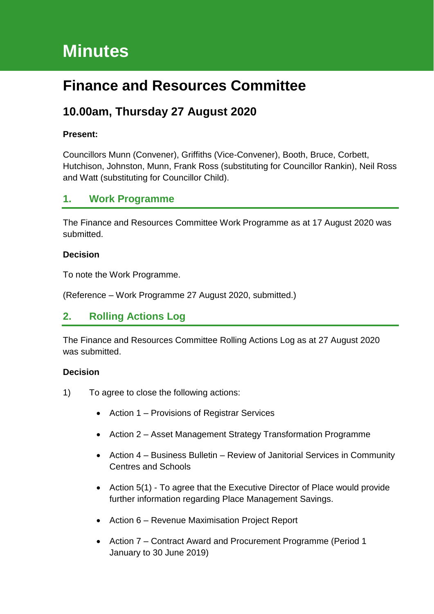# **Minutes**

# **Finance and Resources Committee**

# **10.00am, Thursday 27 August 2020**

#### **Present:**

Councillors Munn (Convener), Griffiths (Vice-Convener), Booth, Bruce, Corbett, Hutchison, Johnston, Munn, Frank Ross (substituting for Councillor Rankin), Neil Ross and Watt (substituting for Councillor Child).

## **1. Work Programme**

The Finance and Resources Committee Work Programme as at 17 August 2020 was submitted.

#### **Decision**

To note the Work Programme.

(Reference – Work Programme 27 August 2020, submitted.)

## **2. Rolling Actions Log**

The Finance and Resources Committee Rolling Actions Log as at 27 August 2020 was submitted.

- 1) To agree to close the following actions:
	- Action 1 Provisions of Registrar Services
	- Action 2 Asset Management Strategy Transformation Programme
	- Action 4 Business Bulletin Review of Janitorial Services in Community Centres and Schools
	- Action 5(1) To agree that the Executive Director of Place would provide further information regarding Place Management Savings.
	- Action 6 Revenue Maximisation Project Report
	- Action 7 Contract Award and Procurement Programme (Period 1 January to 30 June 2019)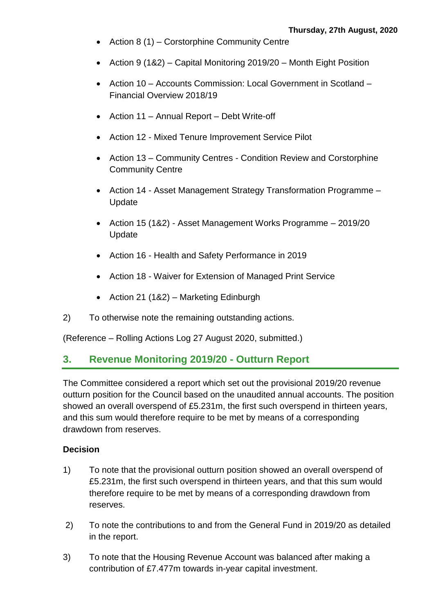- Action 8 (1) Corstorphine Community Centre
- Action 9 (1&2) Capital Monitoring 2019/20 Month Eight Position
- Action 10 Accounts Commission: Local Government in Scotland Financial Overview 2018/19
- Action 11 Annual Report Debt Write-off
- Action 12 Mixed Tenure Improvement Service Pilot
- Action 13 Community Centres Condition Review and Corstorphine Community Centre
- Action 14 Asset Management Strategy Transformation Programme -Update
- Action 15 (1&2) Asset Management Works Programme 2019/20 Update
- Action 16 Health and Safety Performance in 2019
- Action 18 Waiver for Extension of Managed Print Service
- Action 21 (1&2) Marketing Edinburgh
- 2) To otherwise note the remaining outstanding actions.

(Reference – Rolling Actions Log 27 August 2020, submitted.)

## **3. Revenue Monitoring 2019/20 - Outturn Report**

The Committee considered a report which set out the provisional 2019/20 revenue outturn position for the Council based on the unaudited annual accounts. The position showed an overall overspend of £5.231m, the first such overspend in thirteen years, and this sum would therefore require to be met by means of a corresponding drawdown from reserves.

- 1) To note that the provisional outturn position showed an overall overspend of £5.231m, the first such overspend in thirteen years, and that this sum would therefore require to be met by means of a corresponding drawdown from reserves.
- 2) To note the contributions to and from the General Fund in 2019/20 as detailed in the report.
- 3) To note that the Housing Revenue Account was balanced after making a contribution of £7.477m towards in-year capital investment.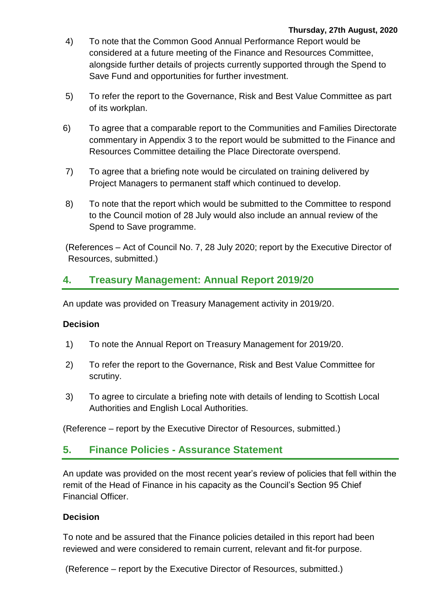- 4) To note that the Common Good Annual Performance Report would be considered at a future meeting of the Finance and Resources Committee, alongside further details of projects currently supported through the Spend to Save Fund and opportunities for further investment.
- 5) To refer the report to the Governance, Risk and Best Value Committee as part of its workplan.
- 6) To agree that a comparable report to the Communities and Families Directorate commentary in Appendix 3 to the report would be submitted to the Finance and Resources Committee detailing the Place Directorate overspend.
- 7) To agree that a briefing note would be circulated on training delivered by Project Managers to permanent staff which continued to develop.
- 8) To note that the report which would be submitted to the Committee to respond to the Council motion of 28 July would also include an annual review of the Spend to Save programme.

(References – Act of Council No. 7, 28 July 2020; report by the Executive Director of Resources, submitted.)

# **4. Treasury Management: Annual Report 2019/20**

An update was provided on Treasury Management activity in 2019/20.

### **Decision**

- 1) To note the Annual Report on Treasury Management for 2019/20.
- 2) To refer the report to the Governance, Risk and Best Value Committee for scrutiny.
- 3) To agree to circulate a briefing note with details of lending to Scottish Local Authorities and English Local Authorities.

(Reference – report by the Executive Director of Resources, submitted.)

## **5. Finance Policies - Assurance Statement**

An update was provided on the most recent year's review of policies that fell within the remit of the Head of Finance in his capacity as the Council's Section 95 Chief Financial Officer.

#### **Decision**

To note and be assured that the Finance policies detailed in this report had been reviewed and were considered to remain current, relevant and fit-for purpose.

(Reference – report by the Executive Director of Resources, submitted.)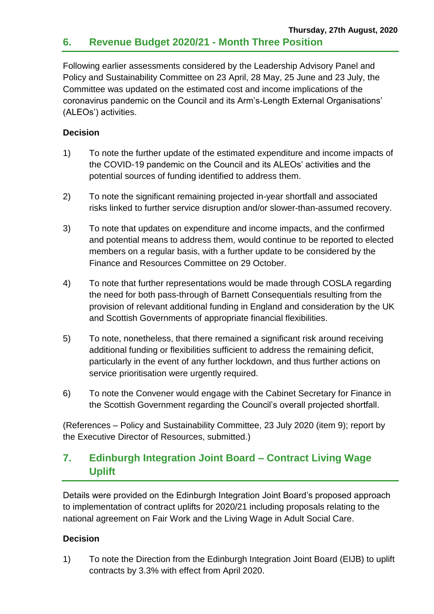Following earlier assessments considered by the Leadership Advisory Panel and Policy and Sustainability Committee on 23 April, 28 May, 25 June and 23 July, the Committee was updated on the estimated cost and income implications of the coronavirus pandemic on the Council and its Arm's-Length External Organisations' (ALEOs') activities.

### **Decision**

- 1) To note the further update of the estimated expenditure and income impacts of the COVID-19 pandemic on the Council and its ALEOs' activities and the potential sources of funding identified to address them.
- 2) To note the significant remaining projected in-year shortfall and associated risks linked to further service disruption and/or slower-than-assumed recovery.
- 3) To note that updates on expenditure and income impacts, and the confirmed and potential means to address them, would continue to be reported to elected members on a regular basis, with a further update to be considered by the Finance and Resources Committee on 29 October.
- 4) To note that further representations would be made through COSLA regarding the need for both pass-through of Barnett Consequentials resulting from the provision of relevant additional funding in England and consideration by the UK and Scottish Governments of appropriate financial flexibilities.
- 5) To note, nonetheless, that there remained a significant risk around receiving additional funding or flexibilities sufficient to address the remaining deficit, particularly in the event of any further lockdown, and thus further actions on service prioritisation were urgently required.
- 6) To note the Convener would engage with the Cabinet Secretary for Finance in the Scottish Government regarding the Council's overall projected shortfall.

(References – Policy and Sustainability Committee, 23 July 2020 (item 9); report by the Executive Director of Resources, submitted.)

# **7. Edinburgh Integration Joint Board – Contract Living Wage Uplift**

Details were provided on the Edinburgh Integration Joint Board's proposed approach to implementation of contract uplifts for 2020/21 including proposals relating to the national agreement on Fair Work and the Living Wage in Adult Social Care.

## **Decision**

1) To note the Direction from the Edinburgh Integration Joint Board (EIJB) to uplift contracts by 3.3% with effect from April 2020.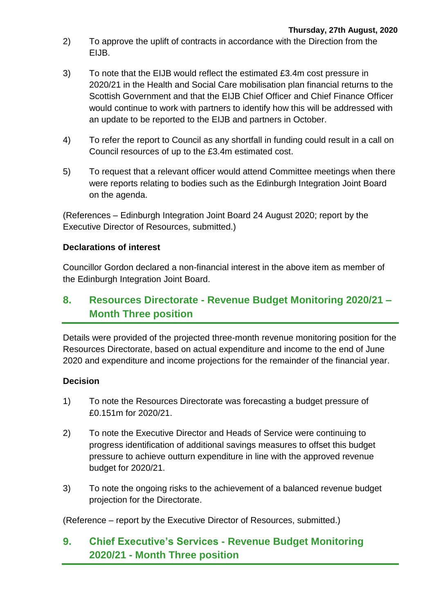- 2) To approve the uplift of contracts in accordance with the Direction from the EIJB.
- 3) To note that the EIJB would reflect the estimated £3.4m cost pressure in 2020/21 in the Health and Social Care mobilisation plan financial returns to the Scottish Government and that the EIJB Chief Officer and Chief Finance Officer would continue to work with partners to identify how this will be addressed with an update to be reported to the EIJB and partners in October.
- 4) To refer the report to Council as any shortfall in funding could result in a call on Council resources of up to the £3.4m estimated cost.
- 5) To request that a relevant officer would attend Committee meetings when there were reports relating to bodies such as the Edinburgh Integration Joint Board on the agenda.

(References – Edinburgh Integration Joint Board 24 August 2020; report by the Executive Director of Resources, submitted.)

#### **Declarations of interest**

Councillor Gordon declared a non-financial interest in the above item as member of the Edinburgh Integration Joint Board.

# **8. Resources Directorate - Revenue Budget Monitoring 2020/21 – Month Three position**

Details were provided of the projected three-month revenue monitoring position for the Resources Directorate, based on actual expenditure and income to the end of June 2020 and expenditure and income projections for the remainder of the financial year.

## **Decision**

- 1) To note the Resources Directorate was forecasting a budget pressure of £0.151m for 2020/21.
- 2) To note the Executive Director and Heads of Service were continuing to progress identification of additional savings measures to offset this budget pressure to achieve outturn expenditure in line with the approved revenue budget for 2020/21.
- 3) To note the ongoing risks to the achievement of a balanced revenue budget projection for the Directorate.

(Reference – report by the Executive Director of Resources, submitted.)

# **9. Chief Executive's Services - Revenue Budget Monitoring 2020/21 - Month Three position**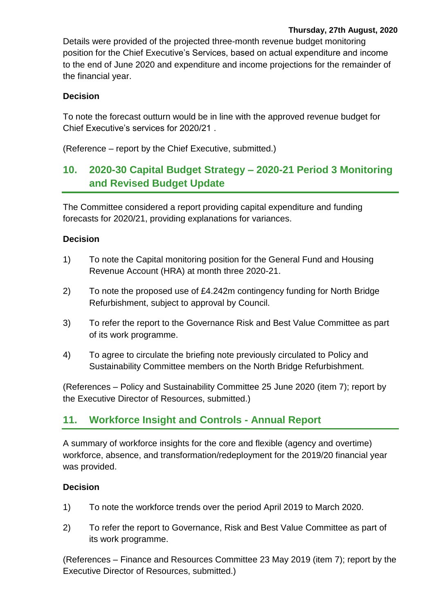Details were provided of the projected three-month revenue budget monitoring position for the Chief Executive's Services, based on actual expenditure and income to the end of June 2020 and expenditure and income projections for the remainder of the financial year.

## **Decision**

To note the forecast outturn would be in line with the approved revenue budget for Chief Executive's services for 2020/21 .

(Reference – report by the Chief Executive, submitted.)

# **10. 2020-30 Capital Budget Strategy – 2020-21 Period 3 Monitoring and Revised Budget Update**

The Committee considered a report providing capital expenditure and funding forecasts for 2020/21, providing explanations for variances.

## **Decision**

- 1) To note the Capital monitoring position for the General Fund and Housing Revenue Account (HRA) at month three 2020-21.
- 2) To note the proposed use of £4.242m contingency funding for North Bridge Refurbishment, subject to approval by Council.
- 3) To refer the report to the Governance Risk and Best Value Committee as part of its work programme.
- 4) To agree to circulate the briefing note previously circulated to Policy and Sustainability Committee members on the North Bridge Refurbishment.

(References – Policy and Sustainability Committee 25 June 2020 (item 7); report by the Executive Director of Resources, submitted.)

# **11. Workforce Insight and Controls - Annual Report**

A summary of workforce insights for the core and flexible (agency and overtime) workforce, absence, and transformation/redeployment for the 2019/20 financial year was provided.

## **Decision**

- 1) To note the workforce trends over the period April 2019 to March 2020.
- 2) To refer the report to Governance, Risk and Best Value Committee as part of its work programme.

(References – Finance and Resources Committee 23 May 2019 (item 7); report by the Executive Director of Resources, submitted.)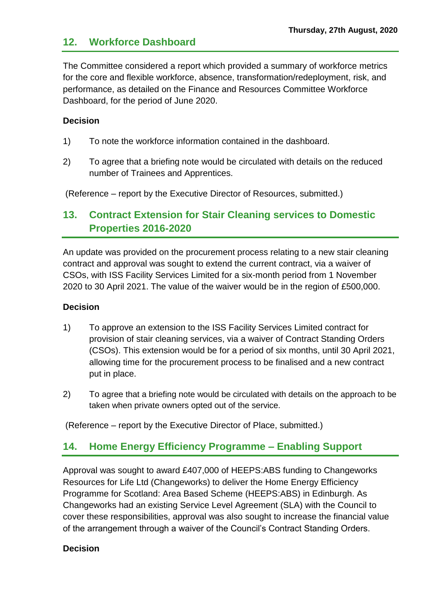## **12. Workforce Dashboard**

The Committee considered a report which provided a summary of workforce metrics for the core and flexible workforce, absence, transformation/redeployment, risk, and performance, as detailed on the Finance and Resources Committee Workforce Dashboard, for the period of June 2020.

#### **Decision**

- 1) To note the workforce information contained in the dashboard.
- 2) To agree that a briefing note would be circulated with details on the reduced number of Trainees and Apprentices.

(Reference – report by the Executive Director of Resources, submitted.)

# **13. Contract Extension for Stair Cleaning services to Domestic Properties 2016-2020**

An update was provided on the procurement process relating to a new stair cleaning contract and approval was sought to extend the current contract, via a waiver of CSOs, with ISS Facility Services Limited for a six-month period from 1 November 2020 to 30 April 2021. The value of the waiver would be in the region of £500,000.

#### **Decision**

- 1) To approve an extension to the ISS Facility Services Limited contract for provision of stair cleaning services, via a waiver of Contract Standing Orders (CSOs). This extension would be for a period of six months, until 30 April 2021, allowing time for the procurement process to be finalised and a new contract put in place.
- 2) To agree that a briefing note would be circulated with details on the approach to be taken when private owners opted out of the service.

(Reference – report by the Executive Director of Place, submitted.)

# **14. Home Energy Efficiency Programme – Enabling Support**

Approval was sought to award £407,000 of HEEPS:ABS funding to Changeworks Resources for Life Ltd (Changeworks) to deliver the Home Energy Efficiency Programme for Scotland: Area Based Scheme (HEEPS:ABS) in Edinburgh. As Changeworks had an existing Service Level Agreement (SLA) with the Council to cover these responsibilities, approval was also sought to increase the financial value of the arrangement through a waiver of the Council's Contract Standing Orders.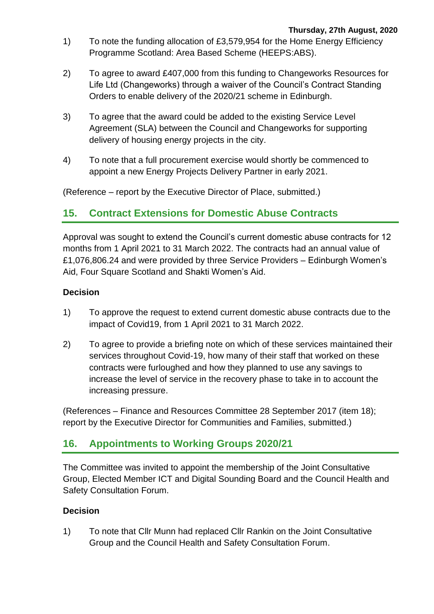- 1) To note the funding allocation of £3,579,954 for the Home Energy Efficiency Programme Scotland: Area Based Scheme (HEEPS:ABS).
- 2) To agree to award £407,000 from this funding to Changeworks Resources for Life Ltd (Changeworks) through a waiver of the Council's Contract Standing Orders to enable delivery of the 2020/21 scheme in Edinburgh.
- 3) To agree that the award could be added to the existing Service Level Agreement (SLA) between the Council and Changeworks for supporting delivery of housing energy projects in the city.
- 4) To note that a full procurement exercise would shortly be commenced to appoint a new Energy Projects Delivery Partner in early 2021.

(Reference – report by the Executive Director of Place, submitted.)

# **15. Contract Extensions for Domestic Abuse Contracts**

Approval was sought to extend the Council's current domestic abuse contracts for 12 months from 1 April 2021 to 31 March 2022. The contracts had an annual value of £1,076,806.24 and were provided by three Service Providers – Edinburgh Women's Aid, Four Square Scotland and Shakti Women's Aid.

#### **Decision**

- 1) To approve the request to extend current domestic abuse contracts due to the impact of Covid19, from 1 April 2021 to 31 March 2022.
- 2) To agree to provide a briefing note on which of these services maintained their services throughout Covid-19, how many of their staff that worked on these contracts were furloughed and how they planned to use any savings to increase the level of service in the recovery phase to take in to account the increasing pressure.

(References – Finance and Resources Committee 28 September 2017 (item 18); report by the Executive Director for Communities and Families, submitted.)

## **16. Appointments to Working Groups 2020/21**

The Committee was invited to appoint the membership of the Joint Consultative Group, Elected Member ICT and Digital Sounding Board and the Council Health and Safety Consultation Forum.

#### **Decision**

1) To note that Cllr Munn had replaced Cllr Rankin on the Joint Consultative Group and the Council Health and Safety Consultation Forum.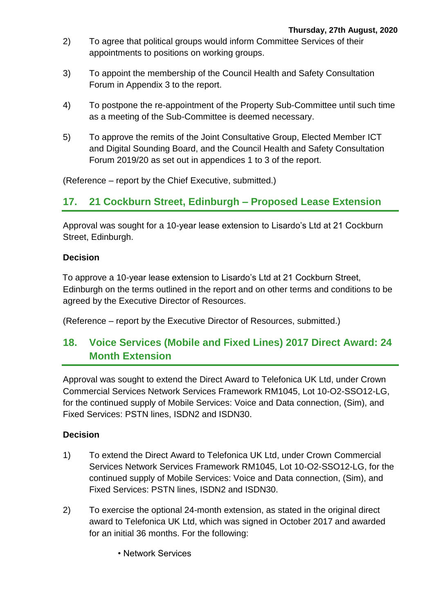- 2) To agree that political groups would inform Committee Services of their appointments to positions on working groups.
- 3) To appoint the membership of the Council Health and Safety Consultation Forum in Appendix 3 to the report.
- 4) To postpone the re-appointment of the Property Sub-Committee until such time as a meeting of the Sub-Committee is deemed necessary.
- 5) To approve the remits of the Joint Consultative Group, Elected Member ICT and Digital Sounding Board, and the Council Health and Safety Consultation Forum 2019/20 as set out in appendices 1 to 3 of the report.

(Reference – report by the Chief Executive, submitted.)

# **17. 21 Cockburn Street, Edinburgh – Proposed Lease Extension**

Approval was sought for a 10-year lease extension to Lisardo's Ltd at 21 Cockburn Street, Edinburgh.

#### **Decision**

To approve a 10-year lease extension to Lisardo's Ltd at 21 Cockburn Street, Edinburgh on the terms outlined in the report and on other terms and conditions to be agreed by the Executive Director of Resources.

(Reference – report by the Executive Director of Resources, submitted.)

# **18. Voice Services (Mobile and Fixed Lines) 2017 Direct Award: 24 Month Extension**

Approval was sought to extend the Direct Award to Telefonica UK Ltd, under Crown Commercial Services Network Services Framework RM1045, Lot 10-O2-SSO12-LG, for the continued supply of Mobile Services: Voice and Data connection, (Sim), and Fixed Services: PSTN lines, ISDN2 and ISDN30.

- 1) To extend the Direct Award to Telefonica UK Ltd, under Crown Commercial Services Network Services Framework RM1045, Lot 10-O2-SSO12-LG, for the continued supply of Mobile Services: Voice and Data connection, (Sim), and Fixed Services: PSTN lines, ISDN2 and ISDN30.
- 2) To exercise the optional 24-month extension, as stated in the original direct award to Telefonica UK Ltd, which was signed in October 2017 and awarded for an initial 36 months. For the following:
	- Network Services